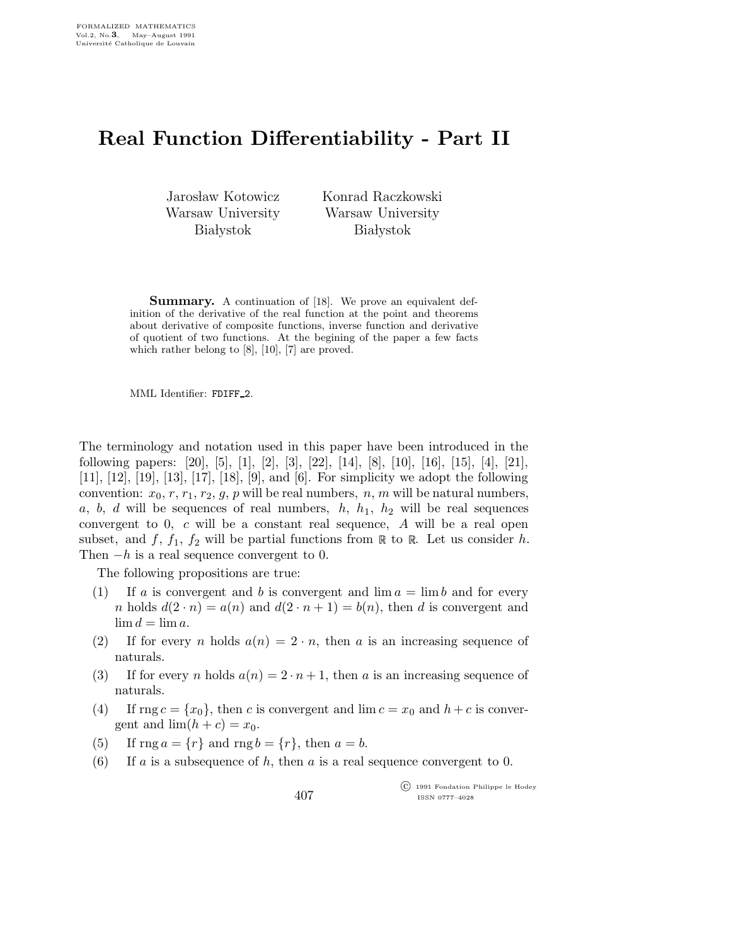## Real Function Differentiability - Part II

Jarosław Kotowicz Warsaw University **Białystok** 

Konrad Raczkowski Warsaw University **Białystok** 

Summary. A continuation of [18]. We prove an equivalent definition of the derivative of the real function at the point and theorems about derivative of composite functions, inverse function and derivative of quotient of two functions. At the begining of the paper a few facts which rather belong to [8], [10], [7] are proved.

MML Identifier: FDIFF 2.

The terminology and notation used in this paper have been introduced in the following papers: [20], [5], [1], [2], [3], [22], [14], [8], [10], [16], [15], [4], [21], [11], [12], [19], [13], [17], [18], [9], and [6]. For simplicity we adopt the following convention:  $x_0, r, r_1, r_2, g, p$  will be real numbers,  $n, m$  will be natural numbers, a, b, d will be sequences of real numbers,  $h$ ,  $h_1$ ,  $h_2$  will be real sequences convergent to 0, c will be a constant real sequence, A will be a real open subset, and f,  $f_1$ ,  $f_2$  will be partial functions from  $\mathbb R$  to  $\mathbb R$ . Let us consider h. Then  $-h$  is a real sequence convergent to 0.

The following propositions are true:

- (1) If a is convergent and b is convergent and  $\lim a = \lim b$  and for every n holds  $d(2 \cdot n) = a(n)$  and  $d(2 \cdot n + 1) = b(n)$ , then d is convergent and  $\lim d = \lim a$ .
- (2) If for every n holds  $a(n) = 2 \cdot n$ , then a is an increasing sequence of naturals.
- (3) If for every n holds  $a(n) = 2 \cdot n + 1$ , then a is an increasing sequence of naturals.
- (4) If rng  $c = \{x_0\}$ , then c is convergent and  $\lim c = x_0$  and  $h + c$  is convergent and  $\lim(h + c) = x_0$ .
- (5) If  $\text{rng } a = \{r\}$  and  $\text{rng } b = \{r\}$ , then  $a = b$ .
- (6) If a is a subsequence of h, then a is a real sequence convergent to 0.

 c 1991 Fondation Philippe le Hodey ISSN 0777–4028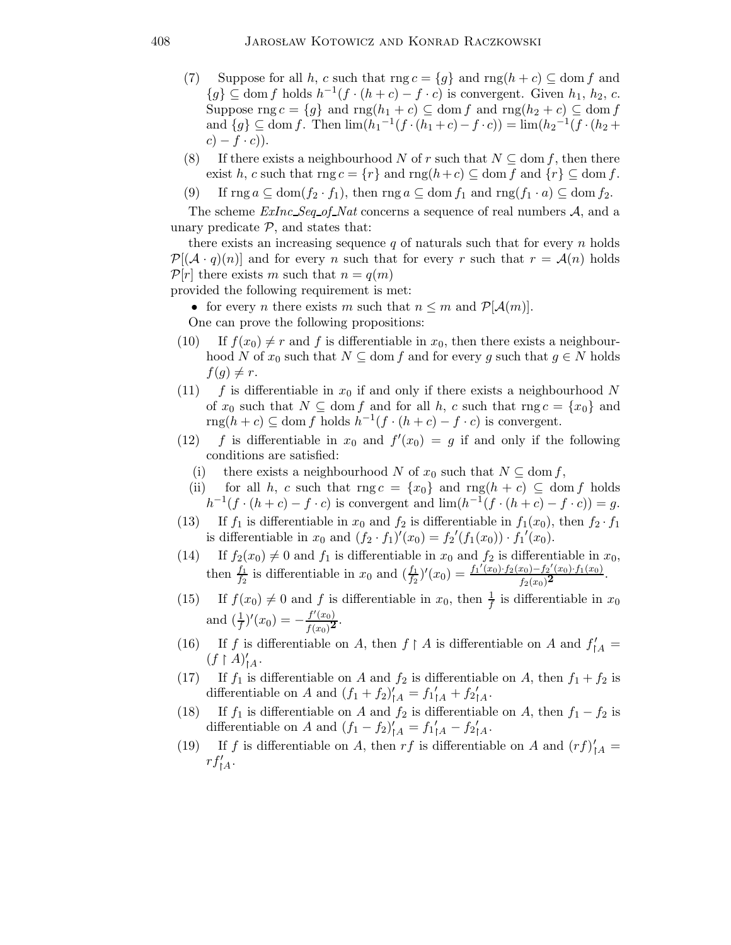- (7) Suppose for all h, c such that  $\text{rng } c = \{g\}$  and  $\text{rng}(h + c) \subseteq \text{dom } f$  and  ${g} \subseteq \text{dom } f$  holds  $h^{-1}(f \cdot (h+c) - f \cdot c)$  is convergent. Given  $h_1, h_2, c$ . Suppose rng  $c = \{g\}$  and rng $(h_1 + c) \subseteq$  dom f and rng $(h_2 + c) \subseteq$  dom f and  $\{g\} \subseteq \text{dom } f$ . Then  $\lim_{h \to 0} (h_1^{-1}(f \cdot (h_1 + c) - f \cdot c)) = \lim_{h \to 0} (h_2^{-1}(f \cdot (h_2 + c)))$  $c) - f \cdot c$ ).
- (8) If there exists a neighbourhood N of r such that  $N \subset \text{dom } f$ , then there exist h, c such that  $\text{rng } c = \{r\}$  and  $\text{rng}(h+c) \subseteq \text{dom } f$  and  $\{r\} \subseteq \text{dom } f$ .
- (9) If  $\text{rng } a \subseteq \text{dom}(f_2 \cdot f_1)$ , then  $\text{rng } a \subseteq \text{dom } f_1$  and  $\text{rng}(f_1 \cdot a) \subseteq \text{dom } f_2$ .

The scheme  $ExInc\,Seq\_of\_Nat\,concerns$  a sequence of real numbers  $A$ , and a unary predicate  $P$ , and states that:

there exists an increasing sequence  $q$  of naturals such that for every  $n$  holds  $\mathcal{P}[(\mathcal{A}\cdot q)(n)]$  and for every n such that for every n such that  $r = \mathcal{A}(n)$  holds  $\mathcal{P}[r]$  there exists m such that  $n = q(m)$ 

provided the following requirement is met:

• for every *n* there exists *m* such that  $n \leq m$  and  $\mathcal{P}[\mathcal{A}(m)]$ .

One can prove the following propositions:

- (10) If  $f(x_0) \neq r$  and f is differentiable in  $x_0$ , then there exists a neighbourhood N of  $x_0$  such that  $N \subseteq$  dom f and for every g such that  $g \in N$  holds  $f(g) \neq r$ .
- (11) f is differentiable in  $x_0$  if and only if there exists a neighbourhood N of  $x_0$  such that  $N \subseteq \text{dom } f$  and for all h, c such that  $\text{rng } c = \{x_0\}$  and  $\text{rng}(h+c) \subseteq \text{dom } f$  holds  $h^{-1}(f \cdot (h+c) - f \cdot c)$  is convergent.
- (12) f is differentiable in  $x_0$  and  $f'(x_0) = g$  if and only if the following conditions are satisfied:
	- (i) there exists a neighbourhood N of  $x_0$  such that  $N \subseteq \text{dom } f$ ,
	- (ii) for all h, c such that  $\text{rng } c = \{x_0\}$  and  $\text{rng}(h + c) \subseteq \text{dom } f$  holds  $h^{-1}(f \cdot (h+c) - f \cdot c)$  is convergent and  $\lim_h (h^{-1}(f \cdot (h+c) - f \cdot c)) = g$ .
- (13) If  $f_1$  is differentiable in  $x_0$  and  $f_2$  is differentiable in  $f_1(x_0)$ , then  $f_2 \cdot f_1$ is differentiable in  $x_0$  and  $(f_2 \cdot f_1)'(x_0) = f_2'(f_1(x_0)) \cdot f_1'(x_0)$ .
- (14) If  $f_2(x_0) \neq 0$  and  $f_1$  is differentiable in  $x_0$  and  $f_2$  is differentiable in  $x_0$ , then  $\frac{f_1}{f_2}$  is differentiable in  $x_0$  and  $(\frac{f_1}{f_2})'(x_0) = \frac{f_1'(x_0) \cdot f_2(x_0) - f_2'(x_0) \cdot f_1(x_0)}{f_2(x_0)^2}$  $\frac{x_0-1}{f_2(x_0)^2}$ .
- (15) If  $f(x_0) \neq 0$  and f is differentiable in  $x_0$ , then  $\frac{1}{f}$  is differentiable in  $x_0$ and  $\left(\frac{1}{f}\right)'(x_0) = -\frac{f'(x_0)}{f(x_0)^2}$ .
- (16) If f is differentiable on A, then  $f \upharpoonright A$  is differentiable on A and  $f'_{\upharpoonright A}$  =  $(f \restriction A)'_{\restriction A}$ .
- (17) If  $f_1$  is differentiable on A and  $f_2$  is differentiable on A, then  $f_1 + f_2$  is differentiable on A and  $(f_1 + f_2)'_{\uparrow A} = f_1'_{\uparrow A} + f_2'_{\uparrow A}$ .
- (18) If  $f_1$  is differentiable on A and  $f_2$  is differentiable on A, then  $f_1 f_2$  is differentiable on A and  $(f_1 - f_2)'_{\uparrow A} = f_1'_{\uparrow A} - f_2'_{\uparrow A}$ .
- (19) If f is differentiable on A, then rf is differentiable on A and  $(rf)'_{A}$  =  $rf'_{|A}$ .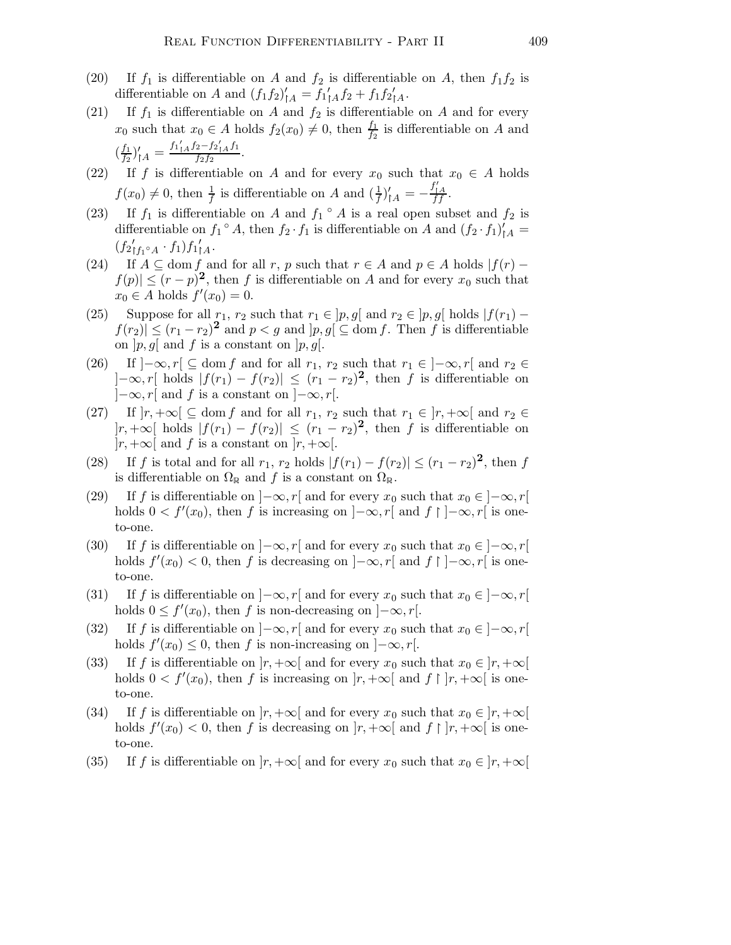- (20) If  $f_1$  is differentiable on A and  $f_2$  is differentiable on A, then  $f_1f_2$  is differentiable on A and  $(f_1 f_2)'_{\uparrow A} = f_1'_{\uparrow A} f_2 + f_1 f_2'_{\uparrow A}$ .
- (21) If  $f_1$  is differentiable on A and  $f_2$  is differentiable on A and for every  $x_0$  such that  $x_0 \in A$  holds  $f_2(x_0) \neq 0$ , then  $\frac{f_1}{f_2}$  is differentiable on A and  $\left(\frac{f_1}{f_2}\right)$  $\frac{f_1}{f_2}\big)'_{{|\!\!|\!\!\lceil} A} = \frac{f_1{}_{|A}'f_2 - f_2{}_{|A}'f_1}{f_2f_2}$  $\frac{2 J_2}{f_2 f_2}$ .
- (22) If f is differentiable on A and for every  $x_0$  such that  $x_0 \in A$  holds  $f(x_0) \neq 0$ , then  $\frac{1}{f}$  is differentiable on A and  $\left(\frac{1}{f}\right)'_{\uparrow A} = -\frac{f'_{\downarrow A}}{ff}$ .
- (23) If  $f_1$  is differentiable on A and  $f_1 \circ A$  is a real open subset and  $f_2$  is differentiable on  $f_1 \circ A$ , then  $f_2 \cdot f_1$  is differentiable on A and  $(f_2 \cdot f_1)'_{|A} =$  $(f_2'_{f_1 \circ A} \cdot f_1) f_1'_{A}.$
- (24) If  $A \subseteq \text{dom } f$  and for all r, p such that  $r \in A$  and  $p \in A$  holds  $|f(r) f(x)|$  $|f(p)| \leq (r-p)^2$ , then f is differentiable on A and for every  $x_0$  such that  $x_0 \in A$  holds  $f'(x_0) = 0$ .
- (25) Suppose for all  $r_1, r_2$  such that  $r_1 \in [p, g]$  and  $r_2 \in [p, g]$  holds  $|f(r_1) |f(r_2)| \leq (r_1 - r_2)^2$  and  $p < g$  and  $|p, g| \subseteq$  dom f. Then f is differentiable on  $|p,g|$  and f is a constant on  $|p,g|$ .
- (26) If  $]-\infty,r[ \subseteq \text{dom } f$  and for all  $r_1, r_2$  such that  $r_1 \in ]-\infty,r[$  and  $r_2 \in$  $]-\infty, r[$  holds  $|f(r_1) - f(r_2)| \leq (r_1 - r_2)^2$ , then f is differentiable on  $]-\infty,r[$  and f is a constant on  $]-\infty,r[$ .
- (27) If  $|r, +\infty| \subseteq \text{dom } f$  and for all  $r_1, r_2$  such that  $r_1 \in |r, +\infty|$  and  $r_2 \in$  $|r, +\infty|$  holds  $|f(r_1) - f(r_2)| \leq (r_1 - r_2)^2$ , then f is differentiable on  $|r, +\infty[$  and f is a constant on  $|r, +\infty[$ .
- (28) If f is total and for all  $r_1$ ,  $r_2$  holds  $|f(r_1) f(r_2)| \le (r_1 r_2)^2$ , then f is differentiable on  $\Omega_{\mathbb{R}}$  and f is a constant on  $\Omega_{\mathbb{R}}$ .
- (29) If f is differentiable on  $]-\infty,r[$  and for every  $x_0$  such that  $x_0 \in ]-\infty,r[$ holds  $0 < f'(x_0)$ , then f is increasing on  $]-\infty, r[$  and  $f \restriction ]-\infty, r[$  is oneto-one.
- (30) If f is differentiable on  $]-\infty, r[$  and for every  $x_0$  such that  $x_0 \in ]-\infty, r[$ holds  $f'(x_0) < 0$ , then f is decreasing on  $]-\infty, r[$  and  $f \restriction ]-\infty, r[$  is oneto-one.
- (31) If f is differentiable on  $]-\infty,r[$  and for every  $x_0$  such that  $x_0 \in ]-\infty,r[$ holds  $0 \le f'(x_0)$ , then f is non-decreasing on  $]-\infty, r[$ .
- (32) If f is differentiable on  $]-\infty,r[$  and for every  $x_0$  such that  $x_0 \in ]-\infty,r[$ holds  $f'(x_0) \leq 0$ , then f is non-increasing on  $]-\infty, r[$ .
- (33) If f is differentiable on  $|r, +\infty[$  and for every  $x_0$  such that  $x_0 \in |r, +\infty[$ holds  $0 < f'(x_0)$ , then f is increasing on  $|r, +\infty[$  and  $f \restriction |r, +\infty[$  is oneto-one.
- (34) If f is differentiable on  $|r, +\infty[$  and for every  $x_0$  such that  $x_0 \in |r, +\infty[$ holds  $f'(x_0) < 0$ , then f is decreasing on  $|r, +\infty[$  and  $f \restriction |r, +\infty[$  is oneto-one.
- (35) If f is differentiable on  $|r, +\infty[$  and for every  $x_0$  such that  $x_0 \in |r, +\infty[$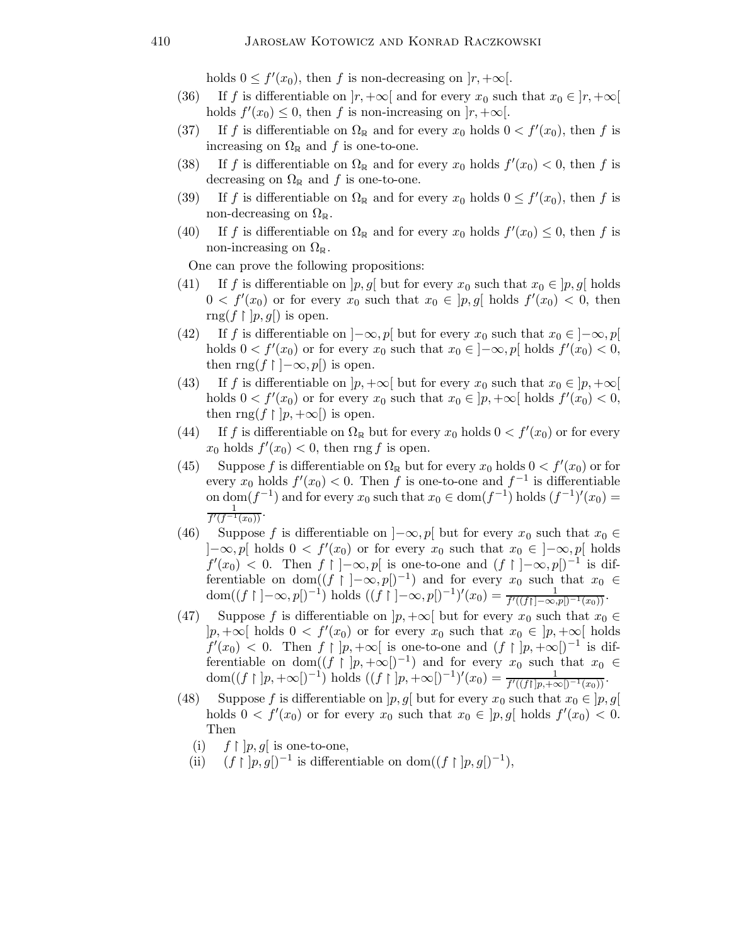holds  $0 \le f'(x_0)$ , then f is non-decreasing on  $|r, +\infty|$ .

- (36) If f is differentiable on  $|r, +\infty[$  and for every  $x_0$  such that  $x_0 \in |r, +\infty[$ holds  $f'(x_0) \leq 0$ , then f is non-increasing on  $[r, +\infty[$ .
- (37) If f is differentiable on  $\Omega_{\mathbb{R}}$  and for every  $x_0$  holds  $0 < f'(x_0)$ , then f is increasing on  $\Omega_{\mathbb{R}}$  and f is one-to-one.
- (38) If f is differentiable on  $\Omega_{\mathbb{R}}$  and for every  $x_0$  holds  $f'(x_0) < 0$ , then f is decreasing on  $\Omega_{\mathbb{R}}$  and f is one-to-one.
- (39) If f is differentiable on  $\Omega_{\mathbb{R}}$  and for every  $x_0$  holds  $0 \le f'(x_0)$ , then f is non-decreasing on  $\Omega_{\mathbb{R}}$ .
- (40) If f is differentiable on  $\Omega_{\mathbb{R}}$  and for every  $x_0$  holds  $f'(x_0) \leq 0$ , then f is non-increasing on  $\Omega_{\mathbb{R}}$ .

One can prove the following propositions:

- (41) If f is differentiable on  $[p, g]$  but for every  $x_0$  such that  $x_0 \in [p, g]$  holds  $0 < f'(x_0)$  or for every  $x_0$  such that  $x_0 \in [p, g[$  holds  $f'(x_0) < 0$ , then  $\text{rng}(f \restriction [p,g])$  is open.
- (42) If f is differentiable on  $]-\infty,p[$  but for every  $x_0$  such that  $x_0 \in ]-\infty,p[$ holds  $0 < f'(x_0)$  or for every  $x_0$  such that  $x_0 \in ]-\infty, p[$  holds  $f'(x_0) < 0$ , then  $\text{rng}(f \restriction ]-\infty, p[)$  is open.
- (43) If f is differentiable on  $|p, +\infty|$  but for every  $x_0$  such that  $x_0 \in |p, +\infty|$ holds  $0 < f'(x_0)$  or for every  $x_0$  such that  $x_0 \in ]p, +\infty[$  holds  $f'(x_0) < 0$ , then  $\text{rng}(f \restriction [p, +\infty[)$  is open.
- (44) If f is differentiable on  $\Omega_{\mathbb{R}}$  but for every  $x_0$  holds  $0 < f'(x_0)$  or for every  $x_0$  holds  $f'(x_0) < 0$ , then rng f is open.
- (45) Suppose f is differentiable on  $\Omega_{\mathbb{R}}$  but for every  $x_0$  holds  $0 < f'(x_0)$  or for every  $x_0$  holds  $f'(x_0) < 0$ . Then f is one-to-one and  $f^{-1}$  is differentiable on dom( $f^{-1}$ ) and for every  $x_0$  such that  $x_0 \in \text{dom}(f^{-1})$  holds  $(f^{-1})'(x_0) =$ 1  $\frac{1}{f'(f^{-1}(x_0))}$ .
- (46) Suppose f is differentiable on  $[-\infty, p]$  but for every  $x_0$  such that  $x_0 \in$  $]-\infty,p[$  holds  $0 < f'(x_0)$  or for every  $x_0$  such that  $x_0 \in ]-\infty,p[$  holds  $f'(x_0) < 0$ . Then  $f \mid ]-\infty, p[$  is one-to-one and  $(f \mid ]-\infty, p[)^{-1}$  is differentiable on dom $((f \mid -\infty, p])^{-1}$  and for every  $x_0$  such that  $x_0 \in$ dom( $(f \upharpoonright ]-\infty, p[$  $)^{-1}$ ) holds  $((\hat{f} \upharpoonright )-\infty, p[$  $)^{-1})'(x_0) = \frac{1}{f'((f\upharpoonright ]-\infty, p[)^{-1}(x_0))}$ .
- (47) Suppose f is differentiable on  $|p, +\infty|$  but for every  $x_0$  such that  $x_0 \in$  $|p, +\infty|$  holds  $0 < f'(x_0)$  or for every  $x_0$  such that  $x_0 \in |p, +\infty|$  holds  $f'(x_0) < 0$ . Then  $f \mid p, +\infty$  is one-to-one and  $(f \mid p, +\infty)$ <sup>-1</sup> is differentiable on dom $((f \mid p, +\infty))^{-1}$  and for every  $x_0$  such that  $x_0 \in$ dom((f | |p, +∞[)<sup>-1</sup>) holds ((f | |p, +∞[)<sup>-1</sup>)'(x<sub>0</sub>) =  $\frac{1}{f'((f|p,+\infty))^{-1}(x_0)}$ .
- (48) Suppose f is differentiable on  $[p,g]$  but for every  $x_0$  such that  $x_0 \in [p,g]$ holds  $0 < f'(x_0)$  or for every  $x_0$  such that  $x_0 \in [p, g[$  holds  $f'(x_0) < 0$ . Then
	- $(i)$  $\restriction$  ] $p,g[$  is one-to-one,
	- $(ii)$  $\int |p,g|^{-1}$  is differentiable on dom $((f \mid p,g|)^{-1}),$